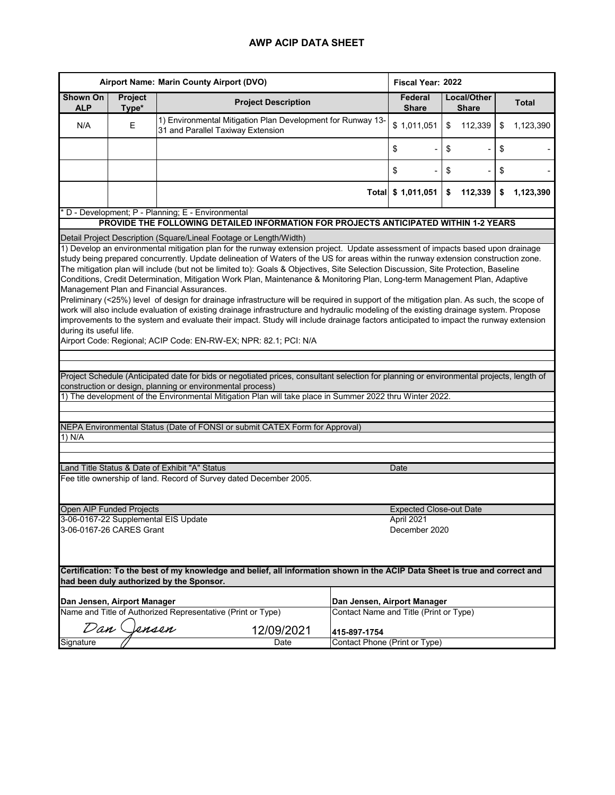|                                                  | Airport Name: Marin County Airport (DVO)                                                                                                                                                                                                                                                                                                                                                                                                                                                                                                                                                                                                                                                                                                                                                                                                                                                                                                                                        |                                                                                                                                          |                                        |                             | Fiscal Year: 2022 |              |  |  |  |  |  |
|--------------------------------------------------|---------------------------------------------------------------------------------------------------------------------------------------------------------------------------------------------------------------------------------------------------------------------------------------------------------------------------------------------------------------------------------------------------------------------------------------------------------------------------------------------------------------------------------------------------------------------------------------------------------------------------------------------------------------------------------------------------------------------------------------------------------------------------------------------------------------------------------------------------------------------------------------------------------------------------------------------------------------------------------|------------------------------------------------------------------------------------------------------------------------------------------|----------------------------------------|-----------------------------|-------------------|--------------|--|--|--|--|--|
| Shown On<br><b>ALP</b>                           | Project<br>Type*                                                                                                                                                                                                                                                                                                                                                                                                                                                                                                                                                                                                                                                                                                                                                                                                                                                                                                                                                                | <b>Project Description</b>                                                                                                               | Federal<br><b>Share</b>                | Local/Other<br><b>Share</b> |                   | <b>Total</b> |  |  |  |  |  |
| N/A                                              | E                                                                                                                                                                                                                                                                                                                                                                                                                                                                                                                                                                                                                                                                                                                                                                                                                                                                                                                                                                               | 1) Environmental Mitigation Plan Development for Runway 13-<br>31 and Parallel Taxiway Extension                                         | \$1,011,051                            | \$<br>112,339               | \$                | 1,123,390    |  |  |  |  |  |
|                                                  |                                                                                                                                                                                                                                                                                                                                                                                                                                                                                                                                                                                                                                                                                                                                                                                                                                                                                                                                                                                 |                                                                                                                                          | \$                                     | \$                          | \$                |              |  |  |  |  |  |
|                                                  |                                                                                                                                                                                                                                                                                                                                                                                                                                                                                                                                                                                                                                                                                                                                                                                                                                                                                                                                                                                 |                                                                                                                                          | \$                                     | \$                          | \$                |              |  |  |  |  |  |
|                                                  |                                                                                                                                                                                                                                                                                                                                                                                                                                                                                                                                                                                                                                                                                                                                                                                                                                                                                                                                                                                 |                                                                                                                                          | Total \$ 1,011,051                     | 112,339<br>\$               | \$                | 1,123,390    |  |  |  |  |  |
| D - Development; P - Planning; E - Environmental |                                                                                                                                                                                                                                                                                                                                                                                                                                                                                                                                                                                                                                                                                                                                                                                                                                                                                                                                                                                 |                                                                                                                                          |                                        |                             |                   |              |  |  |  |  |  |
|                                                  |                                                                                                                                                                                                                                                                                                                                                                                                                                                                                                                                                                                                                                                                                                                                                                                                                                                                                                                                                                                 | PROVIDE THE FOLLOWING DETAILED INFORMATION FOR PROJECTS ANTICIPATED WITHIN 1-2 YEARS                                                     |                                        |                             |                   |              |  |  |  |  |  |
|                                                  |                                                                                                                                                                                                                                                                                                                                                                                                                                                                                                                                                                                                                                                                                                                                                                                                                                                                                                                                                                                 | Detail Project Description (Square/Lineal Footage or Length/Width)                                                                       |                                        |                             |                   |              |  |  |  |  |  |
|                                                  |                                                                                                                                                                                                                                                                                                                                                                                                                                                                                                                                                                                                                                                                                                                                                                                                                                                                                                                                                                                 | 1) Develop an environmental mitigation plan for the runway extension project. Update assessment of impacts based upon drainage           |                                        |                             |                   |              |  |  |  |  |  |
|                                                  | study being prepared concurrently. Update delineation of Waters of the US for areas within the runway extension construction zone.<br>The mitigation plan will include (but not be limited to): Goals & Objectives, Site Selection Discussion, Site Protection, Baseline<br>Conditions, Credit Determination, Mitigation Work Plan, Maintenance & Monitoring Plan, Long-term Management Plan, Adaptive<br>Management Plan and Financial Assurances.<br>Preliminary (<25%) level of design for drainage infrastructure will be required in support of the mitigation plan. As such, the scope of<br>work will also include evaluation of existing drainage infrastructure and hydraulic modeling of the existing drainage system. Propose<br>improvements to the system and evaluate their impact. Study will include drainage factors anticipated to impact the runway extension<br>during its useful life.<br>Airport Code: Regional; ACIP Code: EN-RW-EX; NPR: 82.1; PCI: N/A |                                                                                                                                          |                                        |                             |                   |              |  |  |  |  |  |
|                                                  |                                                                                                                                                                                                                                                                                                                                                                                                                                                                                                                                                                                                                                                                                                                                                                                                                                                                                                                                                                                 |                                                                                                                                          |                                        |                             |                   |              |  |  |  |  |  |
|                                                  |                                                                                                                                                                                                                                                                                                                                                                                                                                                                                                                                                                                                                                                                                                                                                                                                                                                                                                                                                                                 | Project Schedule (Anticipated date for bids or negotiated prices, consultant selection for planning or environmental projects, length of |                                        |                             |                   |              |  |  |  |  |  |
|                                                  |                                                                                                                                                                                                                                                                                                                                                                                                                                                                                                                                                                                                                                                                                                                                                                                                                                                                                                                                                                                 | construction or design, planning or environmental process)                                                                               |                                        |                             |                   |              |  |  |  |  |  |
|                                                  |                                                                                                                                                                                                                                                                                                                                                                                                                                                                                                                                                                                                                                                                                                                                                                                                                                                                                                                                                                                 | The development of the Environmental Mitigation Plan will take place in Summer 2022 thru Winter 2022.                                    |                                        |                             |                   |              |  |  |  |  |  |
|                                                  |                                                                                                                                                                                                                                                                                                                                                                                                                                                                                                                                                                                                                                                                                                                                                                                                                                                                                                                                                                                 |                                                                                                                                          |                                        |                             |                   |              |  |  |  |  |  |
|                                                  |                                                                                                                                                                                                                                                                                                                                                                                                                                                                                                                                                                                                                                                                                                                                                                                                                                                                                                                                                                                 |                                                                                                                                          |                                        |                             |                   |              |  |  |  |  |  |
| 1) N/A                                           |                                                                                                                                                                                                                                                                                                                                                                                                                                                                                                                                                                                                                                                                                                                                                                                                                                                                                                                                                                                 | NEPA Environmental Status (Date of FONSI or submit CATEX Form for Approval)                                                              |                                        |                             |                   |              |  |  |  |  |  |
|                                                  |                                                                                                                                                                                                                                                                                                                                                                                                                                                                                                                                                                                                                                                                                                                                                                                                                                                                                                                                                                                 |                                                                                                                                          |                                        |                             |                   |              |  |  |  |  |  |
|                                                  |                                                                                                                                                                                                                                                                                                                                                                                                                                                                                                                                                                                                                                                                                                                                                                                                                                                                                                                                                                                 |                                                                                                                                          |                                        |                             |                   |              |  |  |  |  |  |
|                                                  |                                                                                                                                                                                                                                                                                                                                                                                                                                                                                                                                                                                                                                                                                                                                                                                                                                                                                                                                                                                 |                                                                                                                                          |                                        |                             |                   |              |  |  |  |  |  |
|                                                  |                                                                                                                                                                                                                                                                                                                                                                                                                                                                                                                                                                                                                                                                                                                                                                                                                                                                                                                                                                                 | Land Title Status & Date of Exhibit "A" Status                                                                                           | Date                                   |                             |                   |              |  |  |  |  |  |
|                                                  |                                                                                                                                                                                                                                                                                                                                                                                                                                                                                                                                                                                                                                                                                                                                                                                                                                                                                                                                                                                 | Fee title ownership of land. Record of Survey dated December 2005.                                                                       |                                        |                             |                   |              |  |  |  |  |  |
|                                                  |                                                                                                                                                                                                                                                                                                                                                                                                                                                                                                                                                                                                                                                                                                                                                                                                                                                                                                                                                                                 |                                                                                                                                          |                                        |                             |                   |              |  |  |  |  |  |
|                                                  | Open AIP Funded Projects                                                                                                                                                                                                                                                                                                                                                                                                                                                                                                                                                                                                                                                                                                                                                                                                                                                                                                                                                        |                                                                                                                                          | <b>Expected Close-out Date</b>         |                             |                   |              |  |  |  |  |  |
|                                                  |                                                                                                                                                                                                                                                                                                                                                                                                                                                                                                                                                                                                                                                                                                                                                                                                                                                                                                                                                                                 | 3-06-0167-22 Supplemental EIS Update                                                                                                     | April 2021                             |                             |                   |              |  |  |  |  |  |
|                                                  | 3-06-0167-26 CARES Grant                                                                                                                                                                                                                                                                                                                                                                                                                                                                                                                                                                                                                                                                                                                                                                                                                                                                                                                                                        |                                                                                                                                          | December 2020                          |                             |                   |              |  |  |  |  |  |
|                                                  |                                                                                                                                                                                                                                                                                                                                                                                                                                                                                                                                                                                                                                                                                                                                                                                                                                                                                                                                                                                 |                                                                                                                                          |                                        |                             |                   |              |  |  |  |  |  |
|                                                  |                                                                                                                                                                                                                                                                                                                                                                                                                                                                                                                                                                                                                                                                                                                                                                                                                                                                                                                                                                                 |                                                                                                                                          |                                        |                             |                   |              |  |  |  |  |  |
|                                                  |                                                                                                                                                                                                                                                                                                                                                                                                                                                                                                                                                                                                                                                                                                                                                                                                                                                                                                                                                                                 | Certification: To the best of my knowledge and belief, all information shown in the ACIP Data Sheet is true and correct and              |                                        |                             |                   |              |  |  |  |  |  |
|                                                  |                                                                                                                                                                                                                                                                                                                                                                                                                                                                                                                                                                                                                                                                                                                                                                                                                                                                                                                                                                                 | had been duly authorized by the Sponsor.                                                                                                 |                                        |                             |                   |              |  |  |  |  |  |
| Dan Jensen, Airport Manager                      |                                                                                                                                                                                                                                                                                                                                                                                                                                                                                                                                                                                                                                                                                                                                                                                                                                                                                                                                                                                 |                                                                                                                                          | Dan Jensen, Airport Manager            |                             |                   |              |  |  |  |  |  |
|                                                  |                                                                                                                                                                                                                                                                                                                                                                                                                                                                                                                                                                                                                                                                                                                                                                                                                                                                                                                                                                                 | Name and Title of Authorized Representative (Print or Type)                                                                              | Contact Name and Title (Print or Type) |                             |                   |              |  |  |  |  |  |
| Dan                                              |                                                                                                                                                                                                                                                                                                                                                                                                                                                                                                                                                                                                                                                                                                                                                                                                                                                                                                                                                                                 | ensen<br>12/09/2021<br>415-897-1754                                                                                                      |                                        |                             |                   |              |  |  |  |  |  |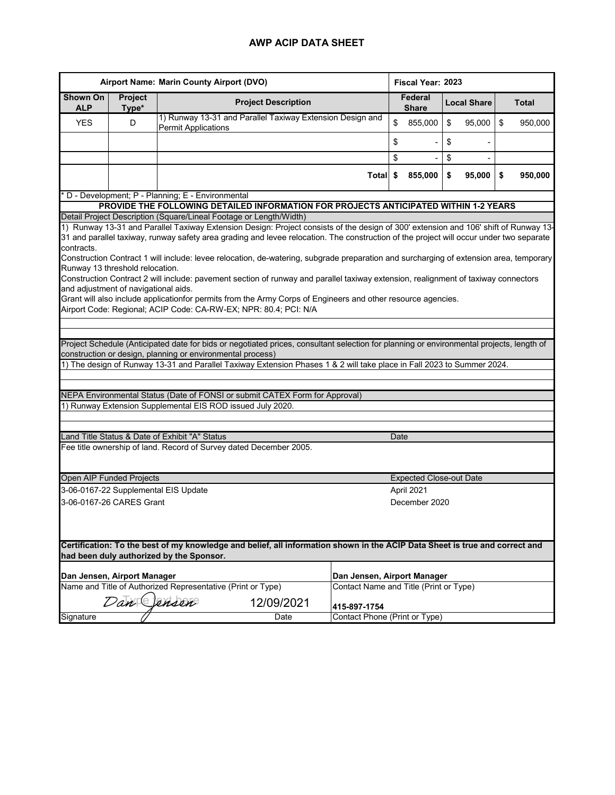| Airport Name: Marin County Airport (DVO)                                                                                                                                |                                      |                                                             |                                                                                                                                                                                                            |  |                                               | Fiscal Year: 2023 |                                               |               |        |                         |              |
|-------------------------------------------------------------------------------------------------------------------------------------------------------------------------|--------------------------------------|-------------------------------------------------------------|------------------------------------------------------------------------------------------------------------------------------------------------------------------------------------------------------------|--|-----------------------------------------------|-------------------|-----------------------------------------------|---------------|--------|-------------------------|--------------|
| Shown On<br><b>ALP</b>                                                                                                                                                  | Project<br>Type*                     |                                                             | <b>Project Description</b>                                                                                                                                                                                 |  |                                               |                   | Federal<br><b>Local Share</b><br><b>Share</b> |               |        |                         | <b>Total</b> |
| <b>YES</b>                                                                                                                                                              | D                                    | <b>Permit Applications</b>                                  | 1) Runway 13-31 and Parallel Taxiway Extension Design and                                                                                                                                                  |  |                                               | \$                | 855,000                                       | $\sqrt[6]{2}$ | 95,000 | $\sqrt[6]{\frac{1}{2}}$ | 950,000      |
|                                                                                                                                                                         |                                      |                                                             |                                                                                                                                                                                                            |  |                                               |                   |                                               | \$            |        |                         |              |
|                                                                                                                                                                         |                                      |                                                             |                                                                                                                                                                                                            |  |                                               | \$                | ٠                                             | \$            | ٠      |                         |              |
|                                                                                                                                                                         |                                      |                                                             |                                                                                                                                                                                                            |  | Total                                         | \$                | 855,000                                       | \$            | 95,000 | \$                      | 950,000      |
| D - Development; P - Planning; E - Environmental                                                                                                                        |                                      |                                                             |                                                                                                                                                                                                            |  |                                               |                   |                                               |               |        |                         |              |
| PROVIDE THE FOLLOWING DETAILED INFORMATION FOR PROJECTS ANTICIPATED WITHIN 1-2 YEARS                                                                                    |                                      |                                                             |                                                                                                                                                                                                            |  |                                               |                   |                                               |               |        |                         |              |
|                                                                                                                                                                         |                                      |                                                             | Detail Project Description (Square/Lineal Footage or Length/Width)<br>1) Runway 13-31 and Parallel Taxiway Extension Design: Project consists of the design of 300' extension and 106' shift of Runway 13- |  |                                               |                   |                                               |               |        |                         |              |
| contracts.                                                                                                                                                              |                                      |                                                             | 31 and parallel taxiway, runway safety area grading and levee relocation. The construction of the project will occur under two separate                                                                    |  |                                               |                   |                                               |               |        |                         |              |
|                                                                                                                                                                         |                                      |                                                             | Construction Contract 1 will include: levee relocation, de-watering, subgrade preparation and surcharging of extension area, temporary                                                                     |  |                                               |                   |                                               |               |        |                         |              |
| Runway 13 threshold relocation.                                                                                                                                         |                                      |                                                             |                                                                                                                                                                                                            |  |                                               |                   |                                               |               |        |                         |              |
|                                                                                                                                                                         | and adjustment of navigational aids. |                                                             | Construction Contract 2 will include: pavement section of runway and parallel taxiway extension, realignment of taxiway connectors                                                                         |  |                                               |                   |                                               |               |        |                         |              |
|                                                                                                                                                                         |                                      |                                                             | Grant will also include applicationfor permits from the Army Corps of Engineers and other resource agencies.                                                                                               |  |                                               |                   |                                               |               |        |                         |              |
|                                                                                                                                                                         |                                      |                                                             | Airport Code: Regional; ACIP Code: CA-RW-EX; NPR: 80.4; PCI: N/A                                                                                                                                           |  |                                               |                   |                                               |               |        |                         |              |
|                                                                                                                                                                         |                                      |                                                             |                                                                                                                                                                                                            |  |                                               |                   |                                               |               |        |                         |              |
|                                                                                                                                                                         |                                      |                                                             |                                                                                                                                                                                                            |  |                                               |                   |                                               |               |        |                         |              |
|                                                                                                                                                                         |                                      |                                                             | Project Schedule (Anticipated date for bids or negotiated prices, consultant selection for planning or environmental projects, length of                                                                   |  |                                               |                   |                                               |               |        |                         |              |
|                                                                                                                                                                         |                                      | construction or design, planning or environmental process)  |                                                                                                                                                                                                            |  |                                               |                   |                                               |               |        |                         |              |
|                                                                                                                                                                         |                                      |                                                             | 1) The design of Runway 13-31 and Parallel Taxiway Extension Phases 1 & 2 will take place in Fall 2023 to Summer 2024.                                                                                     |  |                                               |                   |                                               |               |        |                         |              |
|                                                                                                                                                                         |                                      |                                                             |                                                                                                                                                                                                            |  |                                               |                   |                                               |               |        |                         |              |
|                                                                                                                                                                         |                                      |                                                             | NEPA Environmental Status (Date of FONSI or submit CATEX Form for Approval)                                                                                                                                |  |                                               |                   |                                               |               |        |                         |              |
|                                                                                                                                                                         |                                      |                                                             | 1) Runway Extension Supplemental EIS ROD issued July 2020.                                                                                                                                                 |  |                                               |                   |                                               |               |        |                         |              |
|                                                                                                                                                                         |                                      |                                                             |                                                                                                                                                                                                            |  |                                               |                   |                                               |               |        |                         |              |
|                                                                                                                                                                         |                                      | Land Title Status & Date of Exhibit "A" Status              |                                                                                                                                                                                                            |  |                                               | Date              |                                               |               |        |                         |              |
|                                                                                                                                                                         |                                      |                                                             | Fee title ownership of land. Record of Survey dated December 2005.                                                                                                                                         |  |                                               |                   |                                               |               |        |                         |              |
|                                                                                                                                                                         |                                      |                                                             |                                                                                                                                                                                                            |  |                                               |                   |                                               |               |        |                         |              |
| Open AIP Funded Projects                                                                                                                                                |                                      |                                                             |                                                                                                                                                                                                            |  |                                               |                   | <b>Expected Close-out Date</b>                |               |        |                         |              |
|                                                                                                                                                                         |                                      | 3-06-0167-22 Supplemental EIS Update                        |                                                                                                                                                                                                            |  |                                               |                   | April 2021                                    |               |        |                         |              |
| 3-06-0167-26 CARES Grant                                                                                                                                                |                                      |                                                             |                                                                                                                                                                                                            |  |                                               |                   | December 2020                                 |               |        |                         |              |
|                                                                                                                                                                         |                                      |                                                             |                                                                                                                                                                                                            |  |                                               |                   |                                               |               |        |                         |              |
|                                                                                                                                                                         |                                      |                                                             |                                                                                                                                                                                                            |  |                                               |                   |                                               |               |        |                         |              |
|                                                                                                                                                                         |                                      |                                                             |                                                                                                                                                                                                            |  |                                               |                   |                                               |               |        |                         |              |
| Certification: To the best of my knowledge and belief, all information shown in the ACIP Data Sheet is true and correct and<br>had been duly authorized by the Sponsor. |                                      |                                                             |                                                                                                                                                                                                            |  |                                               |                   |                                               |               |        |                         |              |
| Dan Jensen, Airport Manager                                                                                                                                             |                                      |                                                             |                                                                                                                                                                                                            |  | Dan Jensen, Airport Manager                   |                   |                                               |               |        |                         |              |
|                                                                                                                                                                         |                                      | Name and Title of Authorized Representative (Print or Type) |                                                                                                                                                                                                            |  | Contact Name and Title (Print or Type)        |                   |                                               |               |        |                         |              |
|                                                                                                                                                                         | Dan                                  | ensen                                                       | 12/09/2021                                                                                                                                                                                                 |  |                                               |                   |                                               |               |        |                         |              |
| Signature                                                                                                                                                               |                                      |                                                             | Date                                                                                                                                                                                                       |  | 415-897-1754<br>Contact Phone (Print or Type) |                   |                                               |               |        |                         |              |
|                                                                                                                                                                         |                                      |                                                             |                                                                                                                                                                                                            |  |                                               |                   |                                               |               |        |                         |              |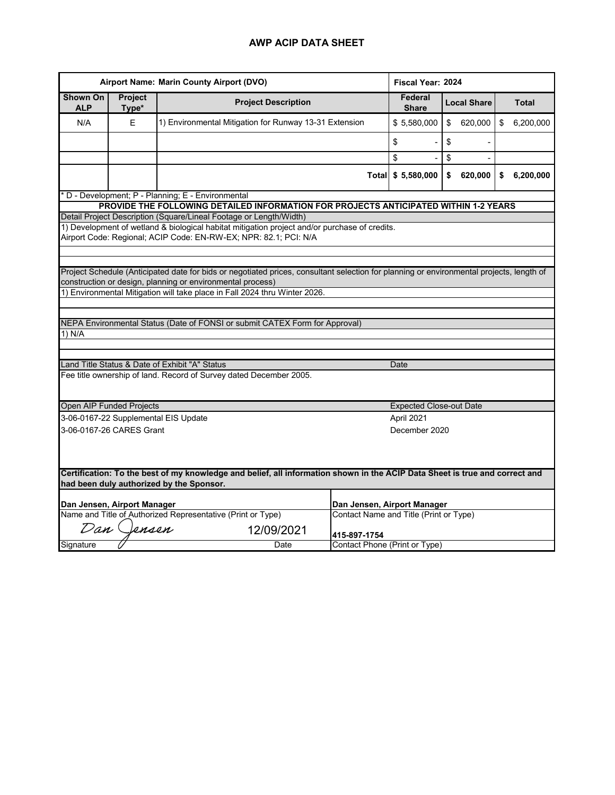| Airport Name: Marin County Airport (DVO) |                                                                                                                                                                         |                                                                                                                                                                   |              | Fiscal Year: 2024                             |    |         |    |              |  |  |  |
|------------------------------------------|-------------------------------------------------------------------------------------------------------------------------------------------------------------------------|-------------------------------------------------------------------------------------------------------------------------------------------------------------------|--------------|-----------------------------------------------|----|---------|----|--------------|--|--|--|
| <b>Shown On</b><br><b>ALP</b>            | Project<br>Type*                                                                                                                                                        | <b>Project Description</b>                                                                                                                                        |              | Federal<br><b>Local Share</b><br><b>Share</b> |    |         |    | <b>Total</b> |  |  |  |
| N/A                                      | E                                                                                                                                                                       | 1) Environmental Mitigation for Runway 13-31 Extension                                                                                                            |              | \$5,580,000                                   | \$ | 620,000 | \$ | 6,200,000    |  |  |  |
|                                          |                                                                                                                                                                         |                                                                                                                                                                   | \$           |                                               | \$ |         |    |              |  |  |  |
|                                          |                                                                                                                                                                         |                                                                                                                                                                   | \$           |                                               | \$ |         |    |              |  |  |  |
|                                          |                                                                                                                                                                         |                                                                                                                                                                   |              | Total \$ 5,580,000                            | \$ | 620,000 | \$ | 6,200,000    |  |  |  |
|                                          | D - Development; P - Planning; E - Environmental                                                                                                                        |                                                                                                                                                                   |              |                                               |    |         |    |              |  |  |  |
|                                          |                                                                                                                                                                         | PROVIDE THE FOLLOWING DETAILED INFORMATION FOR PROJECTS ANTICIPATED WITHIN 1-2 YEARS                                                                              |              |                                               |    |         |    |              |  |  |  |
|                                          |                                                                                                                                                                         | Detail Project Description (Square/Lineal Footage or Length/Width)                                                                                                |              |                                               |    |         |    |              |  |  |  |
|                                          |                                                                                                                                                                         | 1) Development of wetland & biological habitat mitigation project and/or purchase of credits.<br>Airport Code: Regional; ACIP Code: EN-RW-EX; NPR: 82.1; PCI: N/A |              |                                               |    |         |    |              |  |  |  |
|                                          |                                                                                                                                                                         |                                                                                                                                                                   |              |                                               |    |         |    |              |  |  |  |
|                                          |                                                                                                                                                                         |                                                                                                                                                                   |              |                                               |    |         |    |              |  |  |  |
|                                          |                                                                                                                                                                         | Project Schedule (Anticipated date for bids or negotiated prices, consultant selection for planning or environmental projects, length of                          |              |                                               |    |         |    |              |  |  |  |
|                                          |                                                                                                                                                                         | construction or design, planning or environmental process)                                                                                                        |              |                                               |    |         |    |              |  |  |  |
|                                          |                                                                                                                                                                         | 1) Environmental Mitigation will take place in Fall 2024 thru Winter 2026.                                                                                        |              |                                               |    |         |    |              |  |  |  |
|                                          |                                                                                                                                                                         |                                                                                                                                                                   |              |                                               |    |         |    |              |  |  |  |
|                                          |                                                                                                                                                                         | NEPA Environmental Status (Date of FONSI or submit CATEX Form for Approval)                                                                                       |              |                                               |    |         |    |              |  |  |  |
| 1) N/A                                   |                                                                                                                                                                         |                                                                                                                                                                   |              |                                               |    |         |    |              |  |  |  |
|                                          |                                                                                                                                                                         |                                                                                                                                                                   |              |                                               |    |         |    |              |  |  |  |
|                                          |                                                                                                                                                                         | Land Title Status & Date of Exhibit "A" Status                                                                                                                    |              | Date                                          |    |         |    |              |  |  |  |
|                                          |                                                                                                                                                                         | Fee title ownership of land. Record of Survey dated December 2005.                                                                                                |              |                                               |    |         |    |              |  |  |  |
|                                          |                                                                                                                                                                         |                                                                                                                                                                   |              |                                               |    |         |    |              |  |  |  |
| Open AIP Funded Projects                 |                                                                                                                                                                         |                                                                                                                                                                   |              | <b>Expected Close-out Date</b>                |    |         |    |              |  |  |  |
|                                          |                                                                                                                                                                         | 3-06-0167-22 Supplemental EIS Update                                                                                                                              |              | April 2021                                    |    |         |    |              |  |  |  |
|                                          | 3-06-0167-26 CARES Grant                                                                                                                                                |                                                                                                                                                                   |              | December 2020                                 |    |         |    |              |  |  |  |
|                                          |                                                                                                                                                                         |                                                                                                                                                                   |              |                                               |    |         |    |              |  |  |  |
|                                          |                                                                                                                                                                         |                                                                                                                                                                   |              |                                               |    |         |    |              |  |  |  |
|                                          |                                                                                                                                                                         |                                                                                                                                                                   |              |                                               |    |         |    |              |  |  |  |
|                                          | Certification: To the best of my knowledge and belief, all information shown in the ACIP Data Sheet is true and correct and<br>had been duly authorized by the Sponsor. |                                                                                                                                                                   |              |                                               |    |         |    |              |  |  |  |
|                                          |                                                                                                                                                                         |                                                                                                                                                                   |              |                                               |    |         |    |              |  |  |  |
|                                          | Dan Jensen, Airport Manager                                                                                                                                             |                                                                                                                                                                   |              | Dan Jensen, Airport Manager                   |    |         |    |              |  |  |  |
|                                          |                                                                                                                                                                         | Name and Title of Authorized Representative (Print or Type)                                                                                                       |              | Contact Name and Title (Print or Type)        |    |         |    |              |  |  |  |
|                                          | Dan Jensen                                                                                                                                                              | 12/09/2021                                                                                                                                                        | 415-897-1754 |                                               |    |         |    |              |  |  |  |
| Signature                                |                                                                                                                                                                         | Date                                                                                                                                                              |              | Contact Phone (Print or Type)                 |    |         |    |              |  |  |  |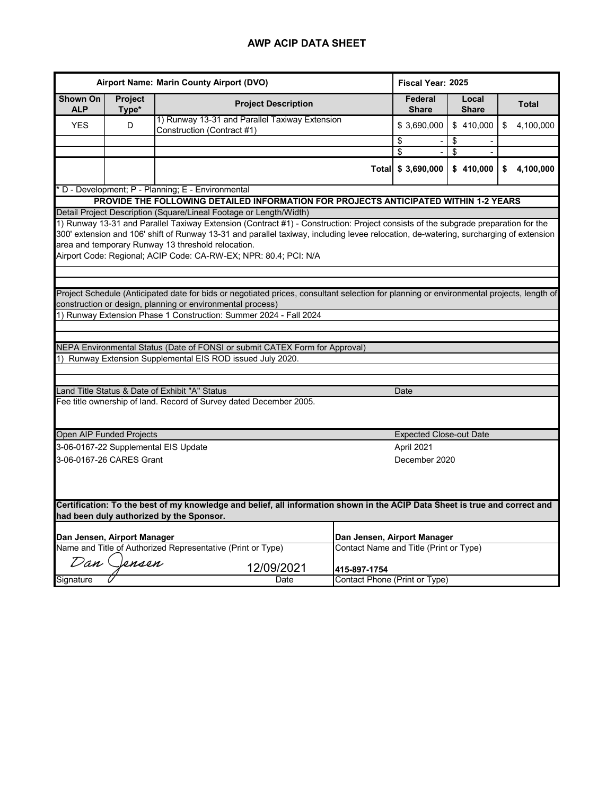| Airport Name: Marin County Airport (DVO) |                  |                                                                                                                                                                                                                                                                                                                                                                                                      |              | Fiscal Year: 2025                      |                       |                 |  |  |  |  |
|------------------------------------------|------------------|------------------------------------------------------------------------------------------------------------------------------------------------------------------------------------------------------------------------------------------------------------------------------------------------------------------------------------------------------------------------------------------------------|--------------|----------------------------------------|-----------------------|-----------------|--|--|--|--|
| <b>Shown On</b><br><b>ALP</b>            | Project<br>Type* | <b>Project Description</b>                                                                                                                                                                                                                                                                                                                                                                           |              | Federal<br><b>Share</b>                | Local<br><b>Share</b> | <b>Total</b>    |  |  |  |  |
| <b>YES</b>                               | D                | 1) Runway 13-31 and Parallel Taxiway Extension<br>Construction (Contract #1)                                                                                                                                                                                                                                                                                                                         |              | \$3,690,000                            | \$410,000             | \$<br>4,100,000 |  |  |  |  |
|                                          |                  |                                                                                                                                                                                                                                                                                                                                                                                                      |              | \$                                     | \$                    |                 |  |  |  |  |
|                                          |                  |                                                                                                                                                                                                                                                                                                                                                                                                      |              | \$                                     | \$                    |                 |  |  |  |  |
|                                          |                  |                                                                                                                                                                                                                                                                                                                                                                                                      | <b>Total</b> | \$3,690,000                            | \$410,000             | 4,100,000<br>\$ |  |  |  |  |
|                                          |                  | D - Development; P - Planning; E - Environmental                                                                                                                                                                                                                                                                                                                                                     |              |                                        |                       |                 |  |  |  |  |
|                                          |                  | PROVIDE THE FOLLOWING DETAILED INFORMATION FOR PROJECTS ANTICIPATED WITHIN 1-2 YEARS                                                                                                                                                                                                                                                                                                                 |              |                                        |                       |                 |  |  |  |  |
|                                          |                  | Detail Project Description (Square/Lineal Footage or Length/Width)                                                                                                                                                                                                                                                                                                                                   |              |                                        |                       |                 |  |  |  |  |
|                                          |                  | 1) Runway 13-31 and Parallel Taxiway Extension (Contract #1) - Construction: Project consists of the subgrade preparation for the<br>300' extension and 106' shift of Runway 13-31 and parallel taxiway, including levee relocation, de-watering, surcharging of extension<br>area and temporary Runway 13 threshold relocation.<br>Airport Code: Regional; ACIP Code: CA-RW-EX; NPR: 80.4; PCI: N/A |              |                                        |                       |                 |  |  |  |  |
|                                          |                  |                                                                                                                                                                                                                                                                                                                                                                                                      |              |                                        |                       |                 |  |  |  |  |
|                                          |                  | Project Schedule (Anticipated date for bids or negotiated prices, consultant selection for planning or environmental projects, length of                                                                                                                                                                                                                                                             |              |                                        |                       |                 |  |  |  |  |
|                                          |                  | construction or design, planning or environmental process)                                                                                                                                                                                                                                                                                                                                           |              |                                        |                       |                 |  |  |  |  |
|                                          |                  | Runway Extension Phase 1 Construction: Summer 2024 - Fall 2024                                                                                                                                                                                                                                                                                                                                       |              |                                        |                       |                 |  |  |  |  |
|                                          |                  |                                                                                                                                                                                                                                                                                                                                                                                                      |              |                                        |                       |                 |  |  |  |  |
|                                          |                  | NEPA Environmental Status (Date of FONSI or submit CATEX Form for Approval)                                                                                                                                                                                                                                                                                                                          |              |                                        |                       |                 |  |  |  |  |
|                                          |                  | Runway Extension Supplemental EIS ROD issued July 2020.                                                                                                                                                                                                                                                                                                                                              |              |                                        |                       |                 |  |  |  |  |
|                                          |                  |                                                                                                                                                                                                                                                                                                                                                                                                      |              |                                        |                       |                 |  |  |  |  |
|                                          |                  |                                                                                                                                                                                                                                                                                                                                                                                                      |              |                                        |                       |                 |  |  |  |  |
|                                          |                  | Land Title Status & Date of Exhibit "A" Status                                                                                                                                                                                                                                                                                                                                                       |              | Date                                   |                       |                 |  |  |  |  |
|                                          |                  | Fee title ownership of land. Record of Survey dated December 2005.                                                                                                                                                                                                                                                                                                                                   |              |                                        |                       |                 |  |  |  |  |
| Open AIP Funded Projects                 |                  |                                                                                                                                                                                                                                                                                                                                                                                                      |              | <b>Expected Close-out Date</b>         |                       |                 |  |  |  |  |
|                                          |                  | 3-06-0167-22 Supplemental EIS Update                                                                                                                                                                                                                                                                                                                                                                 |              | April 2021                             |                       |                 |  |  |  |  |
| 3-06-0167-26 CARES Grant                 |                  |                                                                                                                                                                                                                                                                                                                                                                                                      |              | December 2020                          |                       |                 |  |  |  |  |
|                                          |                  |                                                                                                                                                                                                                                                                                                                                                                                                      |              |                                        |                       |                 |  |  |  |  |
|                                          |                  | Certification: To the best of my knowledge and belief, all information shown in the ACIP Data Sheet is true and correct and<br>had been duly authorized by the Sponsor.                                                                                                                                                                                                                              |              |                                        |                       |                 |  |  |  |  |
|                                          |                  |                                                                                                                                                                                                                                                                                                                                                                                                      |              |                                        |                       |                 |  |  |  |  |
| Dan Jensen, Airport Manager              |                  |                                                                                                                                                                                                                                                                                                                                                                                                      |              | Dan Jensen, Airport Manager            |                       |                 |  |  |  |  |
|                                          |                  | Name and Title of Authorized Representative (Print or Type)                                                                                                                                                                                                                                                                                                                                          |              | Contact Name and Title (Print or Type) |                       |                 |  |  |  |  |
|                                          | Dan Clensen      | 12/09/2021                                                                                                                                                                                                                                                                                                                                                                                           | 415-897-1754 |                                        |                       |                 |  |  |  |  |
| Signature                                |                  | Date                                                                                                                                                                                                                                                                                                                                                                                                 |              | Contact Phone (Print or Type)          |                       |                 |  |  |  |  |